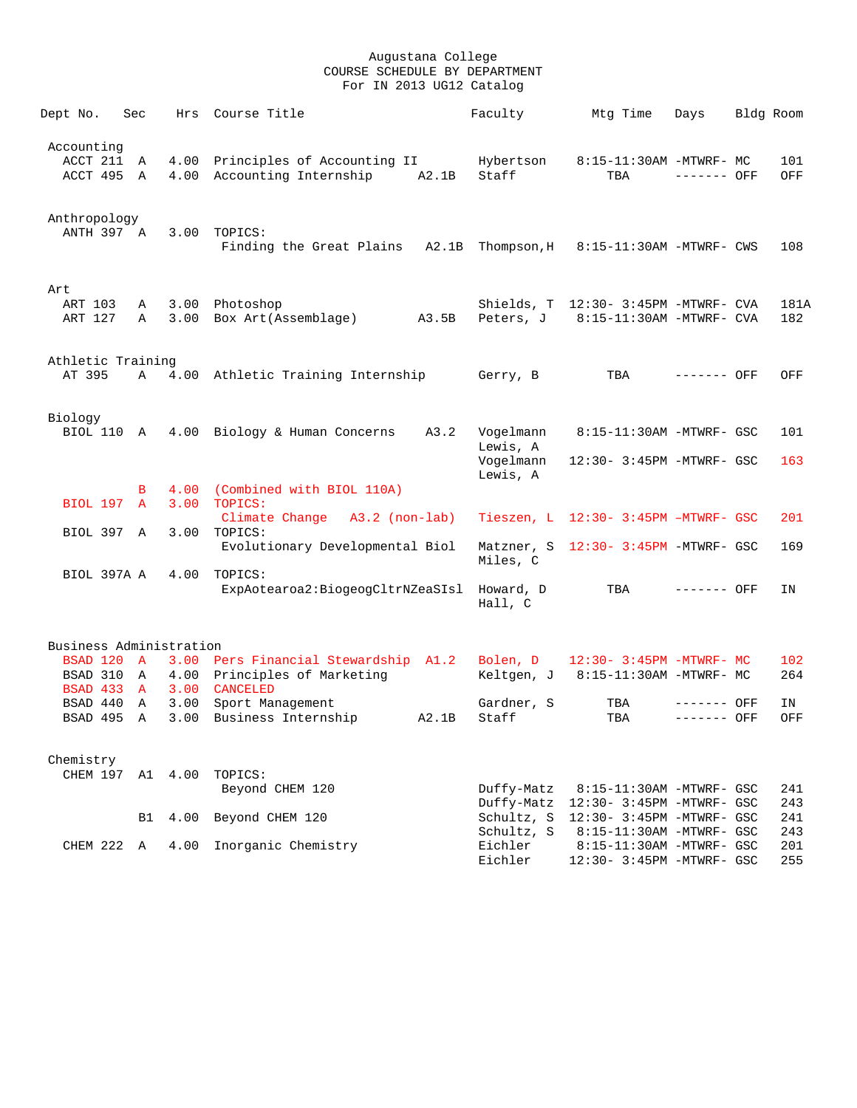| Dept No.                                  | Sec               | Hrs          | Course Title                                                                     | Faculty                                        | Mtg Time                                                                          | Days                       | Bldg Room |                   |
|-------------------------------------------|-------------------|--------------|----------------------------------------------------------------------------------|------------------------------------------------|-----------------------------------------------------------------------------------|----------------------------|-----------|-------------------|
| Accounting<br>ACCT 211<br>ACCT 495        | A<br>A            | 4.00         | Principles of Accounting II<br>4.00 Accounting Internship<br>A2.1B               | Hybertson<br>Staff                             | 8:15-11:30AM -MTWRF- MC<br>TBA                                                    | $------$ OFF               |           | 101<br>OFF        |
| Anthropology<br>ANTH 397 A                |                   | 3.00         | TOPICS:<br>Finding the Great Plains A2.1B                                        | Thompson,H                                     | 8:15-11:30AM -MTWRF- CWS                                                          |                            |           | 108               |
| Art<br>ART 103<br>ART 127                 | A<br>A            |              | 3.00 Photoshop<br>3.00 Box Art(Assemblage) A3.5B                                 |                                                | Shields, T 12:30- 3:45PM -MTWRF- CVA<br>Peters, J 8:15-11:30AM -MTWRF- CVA        |                            |           | 181A<br>182       |
| Athletic Training<br>AT 395               | A                 |              | 4.00 Athletic Training Internship                                                | Gerry, B                                       | TBA                                                                               | ------- OFF                |           | OFF               |
| Biology<br>BIOL 110 A                     |                   |              | 4.00 Biology & Human Concerns<br>A3.2                                            | Vogelmann<br>Lewis, A<br>Vogelmann<br>Lewis, A | 8:15-11:30AM -MTWRF- GSC<br>12:30- 3:45PM -MTWRF- GSC                             |                            |           | 101<br>163        |
|                                           | B                 | 4.00         | (Combined with BIOL 110A)                                                        |                                                |                                                                                   |                            |           |                   |
| <b>BIOL 197 A</b><br>BIOL 397 A           |                   | 3.00<br>3.00 | TOPICS:<br>Climate Change A3.2 (non-lab)<br>TOPICS:                              |                                                | Tieszen, L 12:30- 3:45PM -MTWRF- GSC                                              |                            |           | 201               |
|                                           |                   |              | Evolutionary Developmental Biol                                                  | Miles, C                                       | Matzner, S 12:30- 3:45PM -MTWRF- GSC                                              |                            |           | 169               |
| BIOL 397A A                               |                   | 4.00         | TOPICS:<br>ExpAotearoa2:BiogeogCltrNZeaSIsl                                      | Howard, D<br>Hall, C                           | TBA                                                                               | $------$ OFF               |           | ΙN                |
| Business Administration                   |                   |              |                                                                                  |                                                |                                                                                   |                            |           |                   |
| BSAD 120 A<br>BSAD 310<br><b>BSAD 433</b> | A<br>$\mathbf{A}$ | 3.00         | 3.00 Pers Financial Stewardship A1.2<br>4.00 Principles of Marketing<br>CANCELED | Bolen, D<br>Keltgen, J                         | 12:30- 3:45PM -MTWRF- MC<br>8:15-11:30AM -MTWRF- MC                               |                            |           | 102<br>264        |
| BSAD 440<br>BSAD 495                      | A<br>A            | 3.00         | Sport Management<br>3.00 Business Internship<br>A2.1B                            | Gardner, S<br>Staff                            | TBA<br>TBA                                                                        | ------- OFF<br>------- OFF |           | ΙN<br>OFF         |
| Chemistry                                 |                   |              |                                                                                  |                                                |                                                                                   |                            |           |                   |
| CHEM 197                                  | A1                | 4.00         | TOPICS:<br>Beyond CHEM 120                                                       | Duffy-Matz<br>Duffy-Matz                       | 8:15-11:30AM -MTWRF- GSC<br>12:30- 3:45PM -MTWRF- GSC                             |                            |           | 241<br>243        |
|                                           | B1                | 4.00         | Beyond CHEM 120                                                                  | Schultz, S                                     | 12:30- 3:45PM -MTWRF- GSC                                                         |                            |           | 241               |
| CHEM 222 A                                |                   | 4.00         | Inorganic Chemistry                                                              | Schultz, S<br>Eichler<br>Eichler               | 8:15-11:30AM -MTWRF- GSC<br>8:15-11:30AM -MTWRF- GSC<br>12:30- 3:45PM -MTWRF- GSC |                            |           | 243<br>201<br>255 |
|                                           |                   |              |                                                                                  |                                                |                                                                                   |                            |           |                   |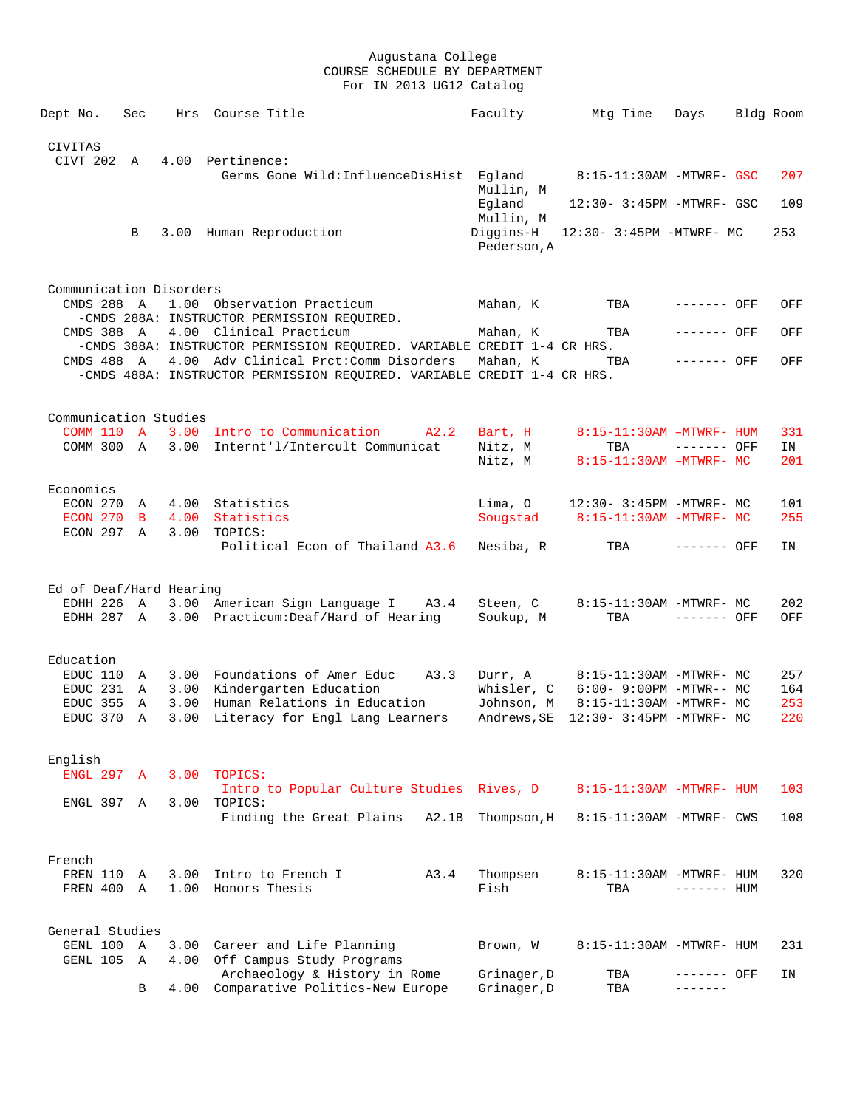| Dept No.                              | Sec            |              | Hrs Course Title                                                                                                  | Faculty                  | Mtg Time                         | Days         | Bldg Room |
|---------------------------------------|----------------|--------------|-------------------------------------------------------------------------------------------------------------------|--------------------------|----------------------------------|--------------|-----------|
|                                       |                |              |                                                                                                                   |                          |                                  |              |           |
| <b>CIVITAS</b><br>CIVT 202 A          |                |              | 4.00 Pertinence:                                                                                                  |                          |                                  |              |           |
|                                       |                |              | Germs Gone Wild:InfluenceDisHist                                                                                  | Eqland<br>Mullin, M      | 8:15-11:30AM -MTWRF- GSC         |              | 207       |
|                                       |                |              |                                                                                                                   | Egland<br>Mullin, M      | 12:30- 3:45PM -MTWRF- GSC        |              | 109       |
|                                       | B              |              | 3.00 Human Reproduction                                                                                           | Diggins-H<br>Pederson, A | 12:30- 3:45PM -MTWRF- MC         |              | 253       |
|                                       |                |              |                                                                                                                   |                          |                                  |              |           |
| Communication Disorders<br>CMDS 288 A |                |              | 1.00 Observation Practicum<br>-CMDS 288A: INSTRUCTOR PERMISSION REQUIRED.                                         | Mahan, K                 | TBA                              | ------- OFF  | OFF       |
|                                       |                |              | CMDS 388 A 4.00 Clinical Practicum                                                                                | Mahan, K                 | TBA                              | ------- OFF  | OFF       |
|                                       |                |              | -CMDS 388A: INSTRUCTOR PERMISSION REQUIRED. VARIABLE CREDIT 1-4 CR HRS.<br>4.00 Adv Clinical Prct: Comm Disorders |                          |                                  | $------$ OFF |           |
| CMDS 488 A                            |                |              | -CMDS 488A: INSTRUCTOR PERMISSION REQUIRED. VARIABLE CREDIT 1-4 CR HRS.                                           | Mahan, K                 | TBA                              |              | OFF       |
|                                       |                |              |                                                                                                                   |                          |                                  |              |           |
| Communication Studies                 |                |              | COMM 110 A 3.00 Intro to Communication<br>A2.2                                                                    | Bart, H                  | $8:15-11:30AM - MTWRF - HUM$     |              | 331       |
| COMM 300 A                            |                | 3.00         | Internt'l/Intercult Communicat                                                                                    | Nitz, M                  | TBA                              | ------- OFF  | IN        |
|                                       |                |              |                                                                                                                   | Nitz, M                  | $8:15-11:30AM - MTWRF- MC$       |              | 201       |
| Economics                             |                |              |                                                                                                                   |                          |                                  |              |           |
| ECON 270                              | Α              |              | 4.00 Statistics                                                                                                   | Lima, O                  | 12:30- 3:45PM -MTWRF- MC         |              | 101       |
| ECON 270<br>ECON 297 A                | $\overline{B}$ | 3.00         | 4.00 Statistics<br>TOPICS:                                                                                        |                          | Sougstad 8:15-11:30AM -MTWRF- MC |              | 255       |
|                                       |                |              | Political Econ of Thailand A3.6                                                                                   | Nesiba, R                | TBA                              | ------- OFF  | IN        |
| Ed of Deaf/Hard Hearing               |                |              |                                                                                                                   |                          |                                  |              |           |
| EDHH 226 A                            |                |              | 3.00 American Sign Language I<br>A3.4                                                                             | Steen, C                 | 8:15-11:30AM -MTWRF- MC          |              | 202       |
| EDHH 287 A                            |                |              | 3.00 Practicum: Deaf/Hard of Hearing                                                                              | Soukup, M                | TBA                              | ------- OFF  | OFF       |
| Education                             |                |              |                                                                                                                   |                          |                                  |              |           |
| EDUC 110 A                            |                |              | 3.00 Foundations of Amer Educ<br>A3.3                                                                             | Durr, A                  | 8:15-11:30AM -MTWRF- MC          |              | 257       |
| EDUC 231                              | A              | 3.00         | Kindergarten Education                                                                                            | Whisler, C               | $6:00 - 9:00PM - MTWR - - MC$    |              | 164       |
| EDUC 355                              | A              |              | 3.00 Human Relations in Education                                                                                 | Johnson, M               | 8:15-11:30AM -MTWRF- MC          |              | 253       |
| EDUC 370                              | A              |              | 3.00 Literacy for Engl Lang Learners                                                                              | Andrews, SE              | 12:30- 3:45PM -MTWRF- MC         |              | 220       |
| English                               |                |              |                                                                                                                   |                          |                                  |              |           |
| ENGL 297 A                            |                | 3.00         | TOPICS:                                                                                                           |                          |                                  |              |           |
| ENGL 397 A                            |                | 3.00         | Intro to Popular Culture Studies Rives, D<br>TOPICS:                                                              |                          | 8:15-11:30AM -MTWRF- HUM         |              | 103       |
|                                       |                |              | Finding the Great Plains<br>A2.1B                                                                                 | Thompson, H              | 8:15-11:30AM -MTWRF- CWS         |              | 108       |
|                                       |                |              |                                                                                                                   |                          |                                  |              |           |
| French                                |                |              |                                                                                                                   |                          |                                  |              |           |
| FREN 110 A<br>FREN 400                | $\mathbb{A}$   | 3.00<br>1.00 | Intro to French I<br>A3.4<br>Honors Thesis                                                                        | Thompsen<br>Fish         | 8:15-11:30AM -MTWRF- HUM<br>TBA  | $------$ HUM | 320       |
|                                       |                |              |                                                                                                                   |                          |                                  |              |           |
| General Studies                       |                |              |                                                                                                                   |                          |                                  |              |           |
| GENL 100 A                            |                |              | 3.00 Career and Life Planning                                                                                     | Brown, W                 | 8:15-11:30AM -MTWRF- HUM         |              | 231       |
| GENL 105                              | A              | 4.00         | Off Campus Study Programs<br>Archaeology & History in Rome                                                        | Grinager, D              | TBA                              | ------- OFF  | IN        |
|                                       | B              | 4.00         | Comparative Politics-New Europe                                                                                   | Grinager, D              | TBA                              | -------      |           |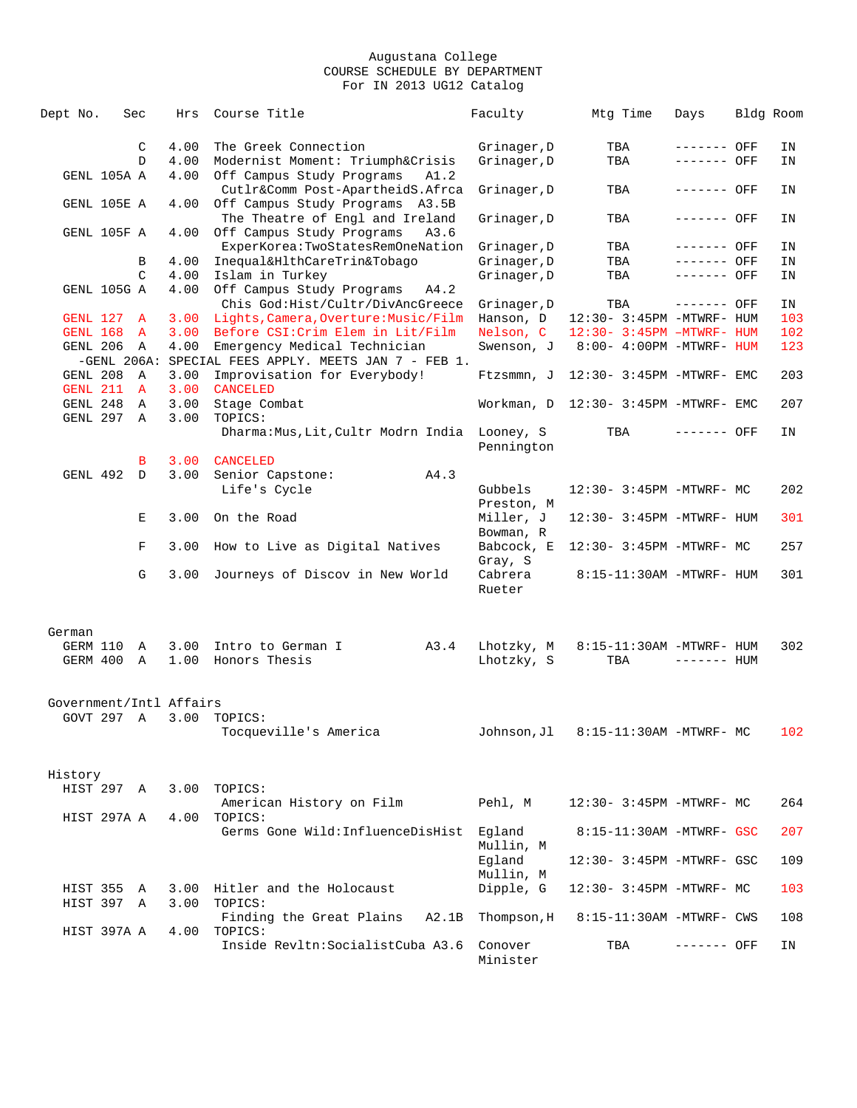| Dept No.                       | Sec         |                  | Hrs          | Course Title                                                                         | Faculty                  | Mtg Time                             | Days         | Bldg Room |
|--------------------------------|-------------|------------------|--------------|--------------------------------------------------------------------------------------|--------------------------|--------------------------------------|--------------|-----------|
|                                |             | C                | 4.00         | The Greek Connection                                                                 | Grinager, D              | TBA                                  | ------- OFF  | ΙN        |
|                                |             | D                | 4.00         | Modernist Moment: Triumph&Crisis                                                     | Grinager, D              | TBA                                  | ------- OFF  | ΙN        |
|                                | GENL 105A A |                  | 4.00         | Off Campus Study Programs<br>A1.2                                                    |                          |                                      |              |           |
|                                | GENL 105E A |                  | 4.00         | Cutlr&Comm Post-ApartheidS.Afrca<br>Off Campus Study Programs A3.5B                  | Grinager, D              | TBA                                  | ------- OFF  | ΙN        |
|                                | GENL 105F A |                  | 4.00         | The Theatre of Engl and Ireland<br>Off Campus Study Programs<br>A3.6                 | Grinager, D              | TBA                                  | ------- OFF  | ΙN        |
|                                |             |                  |              | ExperKorea:TwoStatesRemOneNation                                                     | Grinager, D              | TBA                                  | ------- OFF  | ΙN        |
|                                |             | В                | 4.00         | Inequal&HlthCareTrin&Tobaqo                                                          | Grinager, D              | TBA                                  | ------- OFF  | ΙN        |
|                                |             | C                | 4.00         | Islam in Turkey                                                                      | Grinager, D              | TBA                                  | ------- OFF  | ΙN        |
|                                | GENL 105G A |                  | 4.00         | Off Campus Study Programs<br>A4.2                                                    |                          |                                      |              |           |
|                                |             |                  |              | Chis God:Hist/Cultr/DivAncGreece                                                     | Grinager, D              | TBA                                  | ------- OFF  | ΙN        |
| GENL 127                       |             | A                | 3.00         | Lights, Camera, Overture: Music/Film                                                 | Hanson, D                | 12:30- 3:45PM -MTWRF- HUM            |              | 103       |
| GENL 168                       |             | $\mathbf{A}$     | 3.00         | Before CSI: Crim Elem in Lit/Film                                                    | Nelson, C                | 12:30- 3:45PM -MTWRF- HUM            |              | 102       |
| GENL 206                       |             | Α                | 4.00         | Emergency Medical Technician<br>-GENL 206A: SPECIAL FEES APPLY. MEETS JAN 7 - FEB 1. | Swenson, J               | 8:00- 4:00PM -MTWRF- HUM             |              | 123       |
| GENL 208                       |             | A                | 3.00         | Improvisation for Everybody!                                                         |                          | Ftzsmmn, J 12:30- 3:45PM -MTWRF- EMC |              | 203       |
| GENL 211                       |             | $\mathbf{A}$     | 3.00         | <b>CANCELED</b>                                                                      |                          |                                      |              |           |
| GENL 248<br>GENL 297           |             | A<br>$\mathbb A$ | 3.00<br>3.00 | Stage Combat<br>TOPICS:                                                              |                          | Workman, D 12:30- 3:45PM -MTWRF- EMC |              | 207       |
|                                |             |                  |              | Dharma: Mus, Lit, Cultr Modrn India Looney, S                                        | Pennington               | TBA                                  | ------- OFF  | ΙN        |
|                                |             | В                | 3.00         | <b>CANCELED</b>                                                                      |                          |                                      |              |           |
| GENL 492                       |             | D                | 3.00         | Senior Capstone:<br>A4.3                                                             |                          |                                      |              |           |
|                                |             |                  |              | Life's Cycle                                                                         | Gubbels<br>Preston, M    | 12:30- 3:45PM -MTWRF- MC             |              | 202       |
|                                |             | Е                | 3.00         | On the Road                                                                          | Miller, J<br>Bowman, R   | 12:30- 3:45PM -MTWRF- HUM            |              | 301       |
|                                |             | F                | 3.00         | How to Live as Digital Natives                                                       | Babcock, E<br>Gray, S    | 12:30- 3:45PM -MTWRF- MC             |              | 257       |
|                                |             | G                | 3.00         | Journeys of Discov in New World                                                      | Cabrera<br>Rueter        | 8:15-11:30AM -MTWRF- HUM             |              | 301       |
| German<br>GERM 110<br>GERM 400 |             | A<br>A           | 3.00<br>1.00 | A3.4<br>Intro to German I<br>Honors Thesis                                           | Lhotzky, M<br>Lhotzky, S | 8:15-11:30AM -MTWRF- HUM<br>TBA      | $------$ HUM | 302       |
|                                |             |                  |              |                                                                                      |                          |                                      |              |           |
| Government/Intl Affairs        |             |                  |              |                                                                                      |                          |                                      |              |           |
|                                | GOVT 297 A  |                  | 3.00         | TOPICS:<br>Tocqueville's America                                                     | Johnson, Jl              | 8:15-11:30AM -MTWRF- MC              |              | 102       |
|                                |             |                  |              |                                                                                      |                          |                                      |              |           |
| History                        |             |                  |              |                                                                                      |                          |                                      |              |           |
|                                | HIST 297 A  |                  |              | 3.00 TOPICS:                                                                         |                          |                                      |              |           |
|                                |             |                  |              | American History on Film                                                             | Pehl, M                  | 12:30- 3:45PM -MTWRF- MC             |              | 264       |
|                                | HIST 297A A |                  | 4.00         | TOPICS:                                                                              |                          |                                      |              |           |
|                                |             |                  |              | Germs Gone Wild: InfluenceDisHist                                                    | Eqland                   | 8:15-11:30AM -MTWRF- GSC             |              | 207       |
|                                |             |                  |              |                                                                                      | Mullin, M<br>Eqland      | 12:30- 3:45PM -MTWRF- GSC            |              | 109       |
|                                | HIST 355 A  |                  |              | 3.00 Hitler and the Holocaust                                                        | Mullin, M<br>Dipple, G   | 12:30- 3:45PM -MTWRF- MC             |              | 103       |
| HIST 397                       |             | A                | 3.00         | TOPICS:                                                                              |                          |                                      |              |           |
|                                | HIST 397A A |                  | 4.00         | Finding the Great Plains<br>A2.1B<br>TOPICS:                                         | Thompson, H              | 8:15-11:30AM -MTWRF- CWS             |              | 108       |
|                                |             |                  |              | Inside Revltn: Socialist Cuba A3.6                                                   | Conover<br>Minister      | TBA                                  | ------- OFF  | IN        |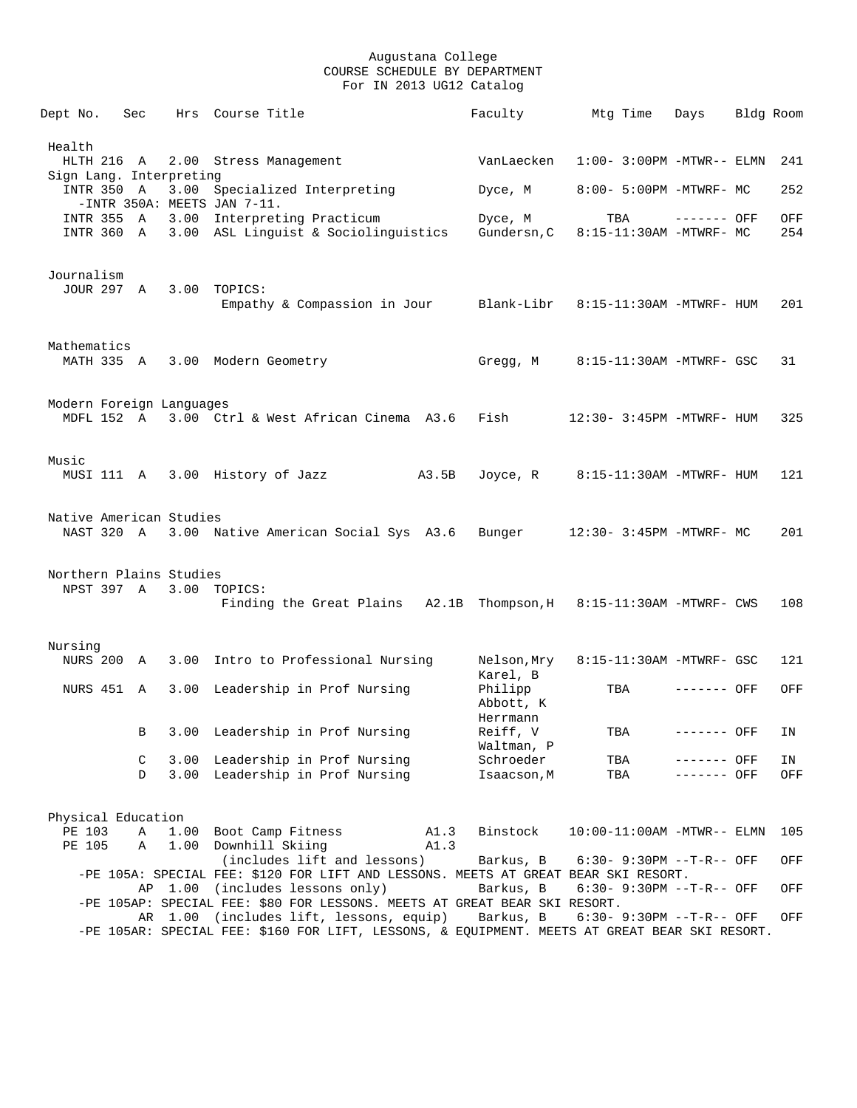| Dept No.                              | Sec |         | Hrs Course Title                                                                                                      | Faculty                 | Mtg Time                      | Days         | Bldg Room |     |
|---------------------------------------|-----|---------|-----------------------------------------------------------------------------------------------------------------------|-------------------------|-------------------------------|--------------|-----------|-----|
| Health                                |     |         |                                                                                                                       |                         |                               |              |           |     |
| HLTH 216 A                            |     |         | 2.00 Stress Management                                                                                                | VanLaecken              | $1:00-3:00PM -MTWR--ELMN$     |              |           | 241 |
| Sign Lang. Interpreting<br>INTR 350 A |     |         | 3.00 Specialized Interpreting<br>-INTR 350A: MEETS JAN 7-11.                                                          | Dyce, M                 | 8:00- 5:00PM -MTWRF- MC       |              |           | 252 |
| INTR 355 A                            |     |         | 3.00 Interpreting Practicum                                                                                           | Dyce, M                 | TBA                           | $------$ OFF |           | OFF |
| INTR 360 A                            |     |         | 3.00 ASL Linguist & Sociolinguistics                                                                                  | Gundersn, C             | 8:15-11:30AM -MTWRF- MC       |              |           | 254 |
| Journalism                            |     |         |                                                                                                                       |                         |                               |              |           |     |
| JOUR 297 A                            |     |         | 3.00 TOPICS:<br>Empathy & Compassion in Jour Blank-Libr                                                               |                         | 8:15-11:30AM -MTWRF- HUM      |              |           | 201 |
| Mathematics                           |     |         |                                                                                                                       |                         |                               |              |           |     |
| MATH 335 A                            |     |         | 3.00 Modern Geometry                                                                                                  | Gregg, M                | 8:15-11:30AM -MTWRF- GSC      |              |           | 31  |
| Modern Foreign Languages              |     |         |                                                                                                                       |                         |                               |              |           |     |
|                                       |     |         | MDFL 152 A 3.00 Ctrl & West African Cinema A3.6                                                                       | Fish                    | 12:30- 3:45PM -MTWRF- HUM     |              |           | 325 |
| Music                                 |     |         |                                                                                                                       |                         |                               |              |           |     |
|                                       |     |         | MUSI 111 A 3.00 History of Jazz                                                                                       | A3.5B<br>Joyce, R       | 8:15-11:30AM -MTWRF- HUM      |              |           | 121 |
| Native American Studies               |     |         |                                                                                                                       |                         |                               |              |           |     |
| NAST 320 A                            |     |         | 3.00 Native American Social Sys A3.6                                                                                  | Bunger                  | 12:30- 3:45PM -MTWRF- MC      |              |           | 201 |
| Northern Plains Studies               |     |         |                                                                                                                       |                         |                               |              |           |     |
|                                       |     |         | NPST 397 A 3.00 TOPICS:                                                                                               |                         |                               |              |           |     |
|                                       |     |         | Finding the Great Plains A2.1B Thompson, H 8:15-11:30AM -MTWRF- CWS                                                   |                         |                               |              |           | 108 |
| Nursing                               |     |         |                                                                                                                       |                         |                               |              |           |     |
| NURS 200 A                            |     |         | 3.00 Intro to Professional Nursing                                                                                    | Nelson,Mry<br>Karel, B  | 8:15-11:30AM -MTWRF- GSC      |              |           | 121 |
| NURS 451 A                            |     |         | 3.00 Leadership in Prof Nursing                                                                                       | Philipp<br>Abbott, K    | TBA                           | ------- OFF  |           | OFF |
|                                       | B   |         | 3.00 Leadership in Prof Nursing                                                                                       | Herrmann<br>Reiff, V    | TBA                           | ------- OFF  |           | ΙN  |
|                                       | C   |         | 3.00 Leadership in Prof Nursing                                                                                       | Waltman, P<br>Schroeder | TBA                           | ------- OFF  |           | ΙN  |
|                                       | D   |         | 3.00 Leadership in Prof Nursing                                                                                       | Isaacson, M             | TBA                           | ------- OFF  |           | OFF |
| Physical Education                    |     |         |                                                                                                                       |                         |                               |              |           |     |
| PE 103                                | Α   | 1.00    | Boot Camp Fitness                                                                                                     | A1.3<br>Binstock        | $10:00-11:00AM - MTWR-- ELMN$ |              |           | 105 |
| PE 105                                | Α   | 1.00    | Downhill Skiing<br>(includes lift and lessons)                                                                        | A1.3<br>Barkus, B       | 6:30- 9:30PM --T-R-- OFF      |              |           | OFF |
|                                       |     |         | -PE 105A: SPECIAL FEE: \$120 FOR LIFT AND LESSONS. MEETS AT GREAT BEAR SKI RESORT.<br>AP 1.00 (includes lessons only) | Barkus, B               | $6:30 - 9:30PM -T-R--$ OFF    |              |           | OFF |
|                                       |     | AR 1.00 | -PE 105AP: SPECIAL FEE: \$80 FOR LESSONS. MEETS AT GREAT BEAR SKI RESORT.<br>(includes lift, lessons, equip)          | Barkus, B               | $6:30 - 9:30PM -T-R--$ OFF    |              |           | OFF |
|                                       |     |         | -PE 105AR: SPECIAL FEE: \$160 FOR LIFT, LESSONS, & EQUIPMENT. MEETS AT GREAT BEAR SKI RESORT.                         |                         |                               |              |           |     |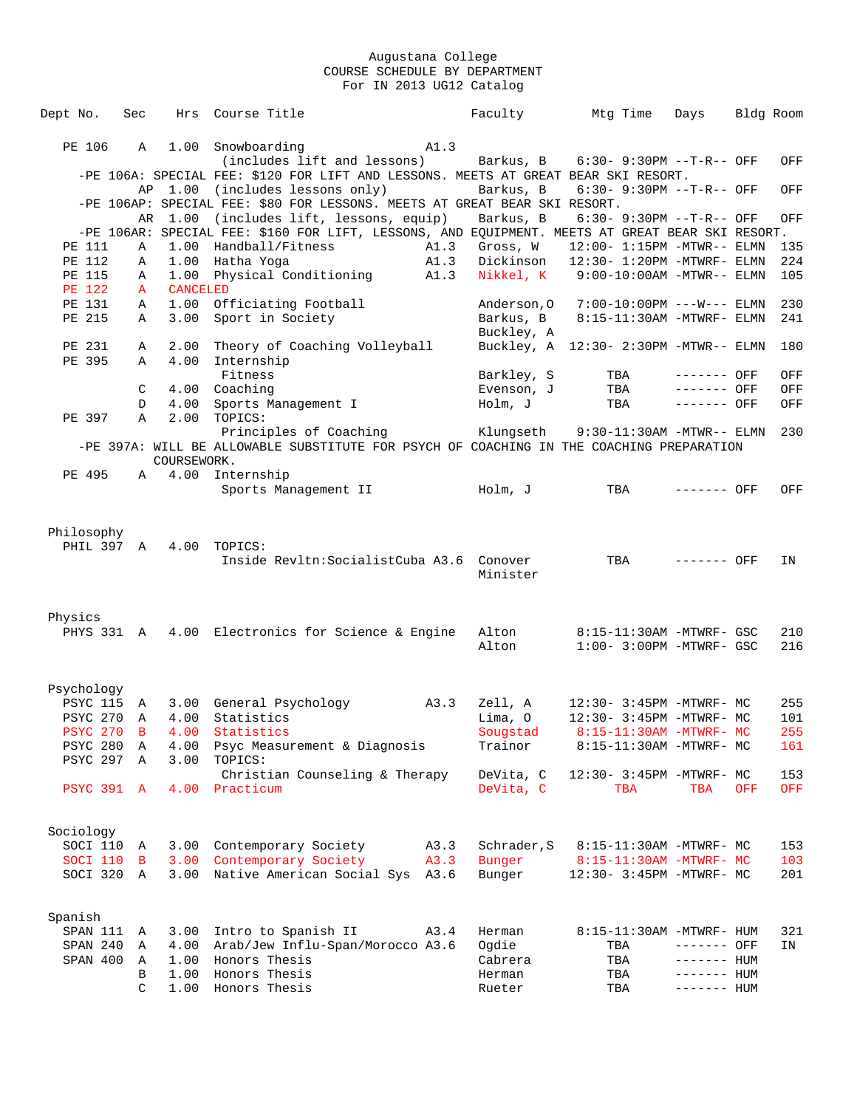| Dept No.          | Sec          | Hrs             | Course Title                                                                                    |      | Faculty     | Mtg Time                              | Days        | Bldg Room |     |
|-------------------|--------------|-----------------|-------------------------------------------------------------------------------------------------|------|-------------|---------------------------------------|-------------|-----------|-----|
|                   |              |                 |                                                                                                 |      |             |                                       |             |           |     |
| PE 106            | $\mathbb{A}$ |                 | 1.00 Snowboarding                                                                               | A1.3 |             |                                       |             |           |     |
|                   |              |                 | (includes lift and lessons)                                                                     |      | Barkus, B   | $6:30 - 9:30PM -T-R--$ OFF            |             |           | OFF |
|                   |              |                 | -PE 106A: SPECIAL FEE: \$120 FOR LIFT AND LESSONS. MEETS AT GREAT BEAR SKI RESORT.              |      |             |                                       |             |           |     |
|                   |              |                 | AP 1.00 (includes lessons only)                                                                 |      | Barkus, B   | 6:30- 9:30PM --T-R-- OFF              |             |           | OFF |
|                   |              |                 | -PE 106AP: SPECIAL FEE: \$80 FOR LESSONS. MEETS AT GREAT BEAR SKI RESORT.                       |      |             |                                       |             |           |     |
|                   | AR           | 1.00            | (includes lift, lessons, equip)                                                                 |      | Barkus, B   | 6:30- 9:30PM --T-R-- OFF              |             |           | OFF |
|                   |              |                 | -PE 106AR: SPECIAL FEE: \$160 FOR LIFT, LESSONS, AND EQUIPMENT. MEETS AT GREAT BEAR SKI RESORT. |      |             |                                       |             |           |     |
| PE 111            | Α            | 1.00            | Handball/Fitness                                                                                | A1.3 | Gross, W    | $12:00 - 1:15PM - MTWR - - ELMN$      |             |           | 135 |
| PE 112            | Α            | 1.00            | Hatha Yoga                                                                                      | A1.3 | Dickinson   | $12:30 - 1:20PM -MTWRF - ELMN$        |             |           | 224 |
| PE 115            | Α            | 1.00            | Physical Conditioning                                                                           | A1.3 | Nikkel, K   | 9:00-10:00AM -MTWR-- ELMN             |             |           | 105 |
| <b>PE 122</b>     | $\mathbf{A}$ | <b>CANCELED</b> |                                                                                                 |      |             |                                       |             |           |     |
| PE 131            | A            | 1.00            | Officiating Football                                                                            |      | Anderson, O | 7:00-10:00PM ---W--- ELMN             |             |           | 230 |
| PE 215            | Α            | 3.00            | Sport in Society                                                                                |      | Barkus, B   | 8:15-11:30AM -MTWRF- ELMN             |             |           | 241 |
|                   |              |                 |                                                                                                 |      | Buckley, A  |                                       |             |           |     |
| PE 231            | Α            | 2.00            | Theory of Coaching Volleyball                                                                   |      |             | Buckley, A 12:30- 2:30PM -MTWR-- ELMN |             |           | 180 |
| PE 395            | Α            | 4.00            | Internship                                                                                      |      |             |                                       |             |           |     |
|                   |              |                 | Fitness                                                                                         |      | Barkley, S  | TBA                                   | ------- OFF |           | OFF |
|                   | C            | 4.00            | Coaching                                                                                        |      | Evenson, J  | TBA                                   | ------- OFF |           | OFF |
|                   | D            | 4.00            | Sports Management I                                                                             |      | Holm, J     | TBA                                   | ------- OFF |           | OFF |
| PE 397            | Α            | 2.00            | TOPICS:                                                                                         |      |             |                                       |             |           |     |
|                   |              |                 | Principles of Coaching                                                                          |      | Klungseth   | $9:30-11:30AM - MTWR-- ELMN$          |             |           | 230 |
|                   |              |                 | -PE 397A: WILL BE ALLOWABLE SUBSTITUTE FOR PSYCH OF COACHING IN THE COACHING PREPARATION        |      |             |                                       |             |           |     |
|                   |              | COURSEWORK.     |                                                                                                 |      |             |                                       |             |           |     |
| PE 495            |              |                 | A 4.00 Internship                                                                               |      |             |                                       |             |           |     |
|                   |              |                 | Sports Management II                                                                            |      | Holm, J     | TBA                                   | ------- OFF |           | OFF |
|                   |              |                 |                                                                                                 |      |             |                                       |             |           |     |
| Philosophy        |              |                 |                                                                                                 |      |             |                                       |             |           |     |
| PHIL 397 A        |              | 4.00            | TOPICS:                                                                                         |      |             |                                       |             |           |     |
|                   |              |                 |                                                                                                 |      |             |                                       |             |           |     |
|                   |              |                 | Inside Revltn: Socialist Cuba A3.6 Conover                                                      |      | Minister    | TBA                                   | ------- OFF |           | ΙN  |
|                   |              |                 |                                                                                                 |      |             |                                       |             |           |     |
|                   |              |                 |                                                                                                 |      |             |                                       |             |           |     |
| Physics           |              |                 |                                                                                                 |      |             |                                       |             |           |     |
|                   |              |                 | PHYS 331 A 4.00 Electronics for Science & Engine                                                |      | Alton       | 8:15-11:30AM -MTWRF- GSC              |             |           | 210 |
|                   |              |                 |                                                                                                 |      | Alton       | $1:00-3:00PM -MTWRF-GSC$              |             |           | 216 |
|                   |              |                 |                                                                                                 |      |             |                                       |             |           |     |
|                   |              |                 |                                                                                                 |      |             |                                       |             |           |     |
| Psychology        |              |                 |                                                                                                 |      |             |                                       |             |           |     |
| <b>PSYC 115</b>   | A            |                 | 3.00 General Psychology                                                                         | A3.3 | Zell, A     | 12:30- 3:45PM -MTWRF- MC              |             |           | 255 |
| <b>PSYC 270</b>   | A            | 4.00            | Statistics                                                                                      |      | Lima, O     | 12:30- 3:45PM -MTWRF- MC              |             |           | 101 |
| <b>PSYC 270</b>   | В            |                 | 4.00 Statistics                                                                                 |      | Sougstad    | 8:15-11:30AM -MTWRF- MC               |             |           | 255 |
| PSYC 280          | Α            | 4.00            | Psyc Measurement & Diagnosis                                                                    |      | Trainor     | 8:15-11:30AM -MTWRF- MC               |             |           | 161 |
| PSYC 297 A        |              | 3.00            | TOPICS:                                                                                         |      |             |                                       |             |           |     |
|                   |              |                 | Christian Counseling & Therapy                                                                  |      | DeVita, C   | 12:30- 3:45PM -MTWRF- MC              |             |           | 153 |
| <b>PSYC 391 A</b> |              |                 | 4.00 Practicum                                                                                  |      | DeVita, C   | TBA                                   | TBA         | OFF       | OFF |
|                   |              |                 |                                                                                                 |      |             |                                       |             |           |     |
|                   |              |                 |                                                                                                 |      |             |                                       |             |           |     |
| Sociology         |              |                 |                                                                                                 |      |             |                                       |             |           |     |
| SOCI 110          | A            |                 | 3.00 Contemporary Society                                                                       | A3.3 | Schrader, S | 8:15-11:30AM -MTWRF- MC               |             |           | 153 |
| SOCI 110          | $\mathbf{B}$ |                 | 3.00 Contemporary Society                                                                       | A3.3 | Bunger      | 8:15-11:30AM -MTWRF- MC               |             |           | 103 |
| SOCI 320          | A            |                 | 3.00 Native American Social Sys A3.6                                                            |      | Bunger      | 12:30- 3:45PM -MTWRF- MC              |             |           | 201 |
|                   |              |                 |                                                                                                 |      |             |                                       |             |           |     |
|                   |              |                 |                                                                                                 |      |             |                                       |             |           |     |
| Spanish           |              |                 |                                                                                                 |      |             |                                       |             |           |     |
| SPAN 111          | A            | 3.00            | Intro to Spanish II                                                                             | A3.4 | Herman      | 8:15-11:30AM -MTWRF- HUM              |             |           | 321 |
| SPAN 240          | Α            | 4.00            | Arab/Jew Influ-Span/Morocco A3.6                                                                |      | Ogdie       | TBA                                   | ------- OFF |           | ΙN  |
| SPAN 400          | A            |                 | 1.00 Honors Thesis                                                                              |      | Cabrera     | TBA                                   | ------- HUM |           |     |
|                   | В            | 1.00            | Honors Thesis                                                                                   |      | Herman      | TBA                                   | ------- HUM |           |     |
|                   | C            | 1.00            | Honors Thesis                                                                                   |      | Rueter      | TBA                                   | ------- HUM |           |     |
|                   |              |                 |                                                                                                 |      |             |                                       |             |           |     |